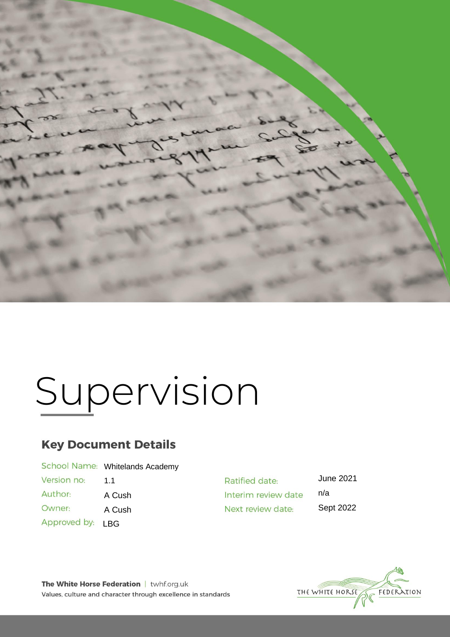

# Supervision

# **Key Document Details**

|              | School Name: Whitelands Academy |
|--------------|---------------------------------|
| Version no:  | 11                              |
| Author:      | A Cush                          |
| Owner:       | A Cush                          |
| Approved by: | <b>LBG</b>                      |

June 2021 Ratified date: n/a Interim review date Next review date: Sept 2022

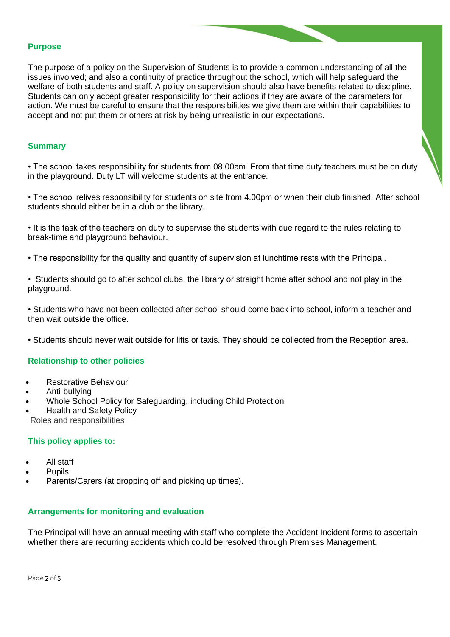#### **Purpose**

The purpose of a policy on the Supervision of Students is to provide a common understanding of all the issues involved; and also a continuity of practice throughout the school, which will help safeguard the welfare of both students and staff. A policy on supervision should also have benefits related to discipline. Students can only accept greater responsibility for their actions if they are aware of the parameters for action. We must be careful to ensure that the responsibilities we give them are within their capabilities to accept and not put them or others at risk by being unrealistic in our expectations.

#### **Summary**

• The school takes responsibility for students from 08.00am. From that time duty teachers must be on duty in the playground. Duty LT will welcome students at the entrance.

• The school relives responsibility for students on site from 4.00pm or when their club finished. After school students should either be in a club or the library.

• It is the task of the teachers on duty to supervise the students with due regard to the rules relating to break-time and playground behaviour.

- The responsibility for the quality and quantity of supervision at lunchtime rests with the Principal.
- Students should go to after school clubs, the library or straight home after school and not play in the playground.

• Students who have not been collected after school should come back into school, inform a teacher and then wait outside the office.

• Students should never wait outside for lifts or taxis. They should be collected from the Reception area.

#### **Relationship to other policies**

- Restorative Behaviour
- Anti-bullying
- Whole School Policy for Safeguarding, including Child Protection
- Health and Safety Policy
- Roles and responsibilities

#### **This policy applies to:**

- All staff
- **Pupils**
- Parents/Carers (at dropping off and picking up times).

#### **Arrangements for monitoring and evaluation**

The Principal will have an annual meeting with staff who complete the Accident Incident forms to ascertain whether there are recurring accidents which could be resolved through Premises Management.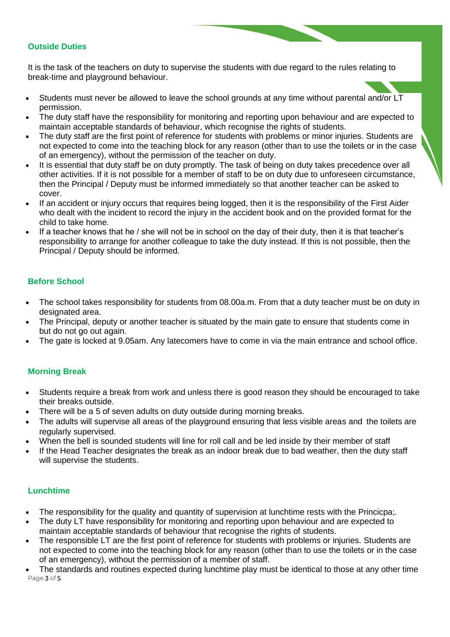### **Outside Duties**

It is the task of the teachers on duty to supervise the students with due regard to the rules relating to break-time and playground behaviour.

- Students must never be allowed to leave the school grounds at any time without parental and/or LT permission.
- The duty staff have the responsibility for monitoring and reporting upon behaviour and are expected to maintain acceptable standards of behaviour, which recognise the rights of students.
- The duty staff are the first point of reference for students with problems or minor injuries. Students are not expected to come into the teaching block for any reason (other than to use the toilets or in the case of an emergency), without the permission of the teacher on duty.
- It is essential that duty staff be on duty promptly. The task of being on duty takes precedence over all other activities. If it is not possible for a member of staff to be on duty due to unforeseen circumstance, then the Principal / Deputy must be informed immediately so that another teacher can be asked to cover.
- If an accident or injury occurs that requires being logged, then it is the responsibility of the First Aider who dealt with the incident to record the injury in the accident book and on the provided format for the child to take home.
- If a teacher knows that he / she will not be in school on the day of their duty, then it is that teacher's responsibility to arrange for another colleague to take the duty instead. If this is not possible, then the Principal / Deputy should be informed.

# **Before School**

- The school takes responsibility for students from 08.00a.m. From that a duty teacher must be on duty in designated area.
- The Principal, deputy or another teacher is situated by the main gate to ensure that students come in but do not go out again.
- The gate is locked at 9.05am. Any latecomers have to come in via the main entrance and school office.

#### **Morning Break**

- Students require a break from work and unless there is good reason they should be encouraged to take their breaks outside.
- There will be a 5 of seven adults on duty outside during morning breaks.
- The adults will supervise all areas of the playground ensuring that less visible areas and the toilets are regularly supervised.
- When the bell is sounded students will line for roll call and be led inside by their member of staff
- If the Head Teacher designates the break as an indoor break due to bad weather, then the duty staff will supervise the students.

#### **Lunchtime**

- The responsibility for the quality and quantity of supervision at lunchtime rests with the Princicpa;.
- The duty LT have responsibility for monitoring and reporting upon behaviour and are expected to maintain acceptable standards of behaviour that recognise the rights of students.
- The responsible LT are the first point of reference for students with problems or injuries. Students are not expected to come into the teaching block for any reason (other than to use the toilets or in the case of an emergency), without the permission of a member of staff.
- Page 3 of 5 • The standards and routines expected during lunchtime play must be identical to those at any other time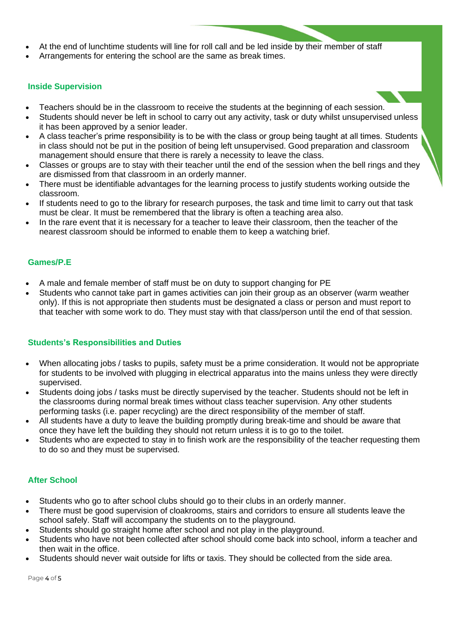- At the end of lunchtime students will line for roll call and be led inside by their member of staff
- Arrangements for entering the school are the same as break times.

#### **Inside Supervision**

- Teachers should be in the classroom to receive the students at the beginning of each session.
- Students should never be left in school to carry out any activity, task or duty whilst unsupervised unless it has been approved by a senior leader.
- A class teacher's prime responsibility is to be with the class or group being taught at all times. Students in class should not be put in the position of being left unsupervised. Good preparation and classroom management should ensure that there is rarely a necessity to leave the class.
- Classes or groups are to stay with their teacher until the end of the session when the bell rings and they are dismissed from that classroom in an orderly manner.
- There must be identifiable advantages for the learning process to justify students working outside the classroom.
- If students need to go to the library for research purposes, the task and time limit to carry out that task must be clear. It must be remembered that the library is often a teaching area also.
- In the rare event that it is necessary for a teacher to leave their classroom, then the teacher of the nearest classroom should be informed to enable them to keep a watching brief.

#### **Games/P.E**

- A male and female member of staff must be on duty to support changing for PE
- Students who cannot take part in games activities can join their group as an observer (warm weather only). If this is not appropriate then students must be designated a class or person and must report to that teacher with some work to do. They must stay with that class/person until the end of that session.

# **Students's Responsibilities and Duties**

- When allocating jobs / tasks to pupils, safety must be a prime consideration. It would not be appropriate for students to be involved with plugging in electrical apparatus into the mains unless they were directly supervised.
- Students doing jobs / tasks must be directly supervised by the teacher. Students should not be left in the classrooms during normal break times without class teacher supervision. Any other students performing tasks (i.e. paper recycling) are the direct responsibility of the member of staff.
- All students have a duty to leave the building promptly during break-time and should be aware that once they have left the building they should not return unless it is to go to the toilet.
- Students who are expected to stay in to finish work are the responsibility of the teacher requesting them to do so and they must be supervised.

# **After School**

- Students who go to after school clubs should go to their clubs in an orderly manner.
- There must be good supervision of cloakrooms, stairs and corridors to ensure all students leave the school safely. Staff will accompany the students on to the playground.
- Students should go straight home after school and not play in the playground.
- Students who have not been collected after school should come back into school, inform a teacher and then wait in the office.
- Students should never wait outside for lifts or taxis. They should be collected from the side area.

Page 4 of 5